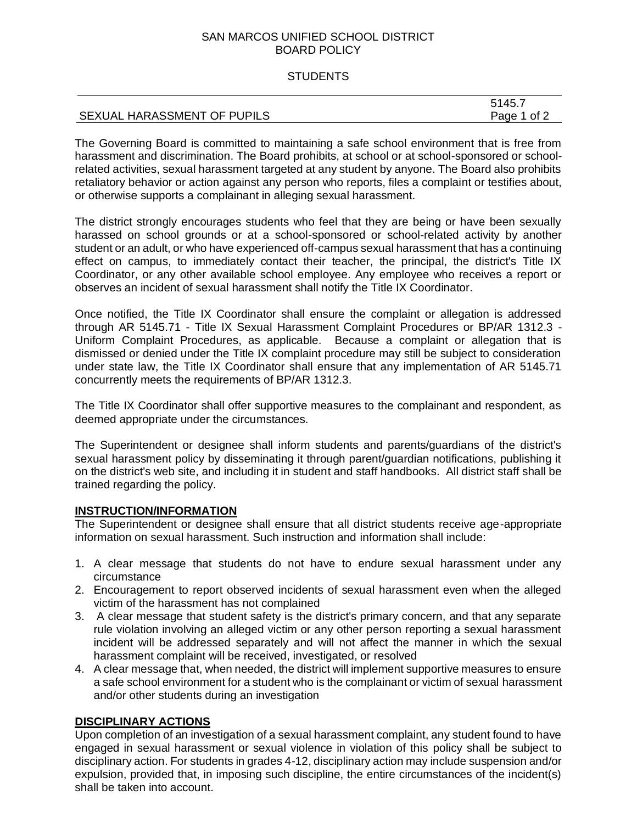## SAN MARCOS UNIFIED SCHOOL DISTRICT BOARD POLICY

## **STUDENTS**

|                             | 5145.7<br>י ט+ |
|-----------------------------|----------------|
| SEXUAL HARASSMENT OF PUPILS | Page<br>1 of 2 |

The Governing Board is committed to maintaining a safe school environment that is free from harassment and discrimination. The Board prohibits, at school or at school-sponsored or schoolrelated activities, sexual harassment targeted at any student by anyone. The Board also prohibits retaliatory behavior or action against any person who reports, files a complaint or testifies about, or otherwise supports a complainant in alleging sexual harassment.

The district strongly encourages students who feel that they are being or have been sexually harassed on school grounds or at a school-sponsored or school-related activity by another student or an adult, or who have experienced off-campus sexual harassment that has a continuing effect on campus, to immediately contact their teacher, the principal, the district's Title IX Coordinator, or any other available school employee. Any employee who receives a report or observes an incident of sexual harassment shall notify the Title IX Coordinator.

Once notified, the Title IX Coordinator shall ensure the complaint or allegation is addressed through AR 5145.71 - Title IX Sexual Harassment Complaint Procedures or BP/AR 1312.3 - Uniform Complaint Procedures, as applicable. Because a complaint or allegation that is dismissed or denied under the Title IX complaint procedure may still be subject to consideration under state law, the Title IX Coordinator shall ensure that any implementation of AR 5145.71 concurrently meets the requirements of BP/AR 1312.3.

The Title IX Coordinator shall offer supportive measures to the complainant and respondent, as deemed appropriate under the circumstances.

The Superintendent or designee shall inform students and parents/guardians of the district's sexual harassment policy by disseminating it through parent/guardian notifications, publishing it on the district's web site, and including it in student and staff handbooks. All district staff shall be trained regarding the policy.

# **INSTRUCTION/INFORMATION**

The Superintendent or designee shall ensure that all district students receive age-appropriate information on sexual harassment. Such instruction and information shall include:

- 1. A clear message that students do not have to endure sexual harassment under any circumstance
- 2. Encouragement to report observed incidents of sexual harassment even when the alleged victim of the harassment has not complained
- 3. A clear message that student safety is the district's primary concern, and that any separate rule violation involving an alleged victim or any other person reporting a sexual harassment incident will be addressed separately and will not affect the manner in which the sexual harassment complaint will be received, investigated, or resolved
- 4. A clear message that, when needed, the district will implement supportive measures to ensure a safe school environment for a student who is the complainant or victim of sexual harassment and/or other students during an investigation

# **DISCIPLINARY ACTIONS**

Upon completion of an investigation of a sexual harassment complaint, any student found to have engaged in sexual harassment or sexual violence in violation of this policy shall be subject to disciplinary action. For students in grades 4-12, disciplinary action may include suspension and/or expulsion, provided that, in imposing such discipline, the entire circumstances of the incident(s) shall be taken into account.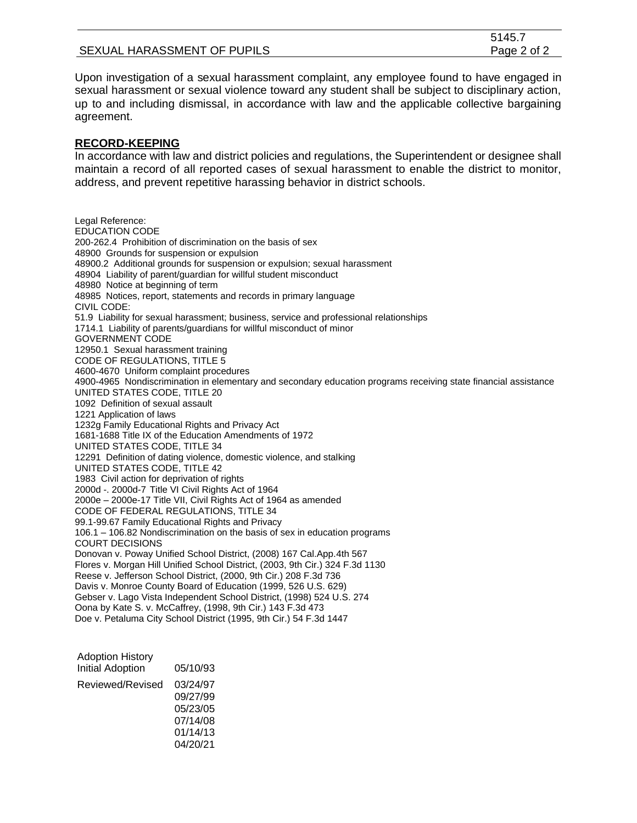|                             | 5145.7      |
|-----------------------------|-------------|
| SEXUAL HARASSMENT OF PUPILS | Page 2 of 2 |

Upon investigation of a sexual harassment complaint, any employee found to have engaged in sexual harassment or sexual violence toward any student shall be subject to disciplinary action, up to and including dismissal, in accordance with law and the applicable collective bargaining agreement.

#### **RECORD-KEEPING**

In accordance with law and district policies and regulations, the Superintendent or designee shall maintain a record of all reported cases of sexual harassment to enable the district to monitor, address, and prevent repetitive harassing behavior in district schools.

Legal Reference: EDUCATION CODE 200-262.4 Prohibition of discrimination on the basis of sex 48900 Grounds for suspension or expulsion 48900.2 Additional grounds for suspension or expulsion; sexual harassment 48904 Liability of parent/guardian for willful student misconduct 48980 Notice at beginning of term 48985 Notices, report, statements and records in primary language CIVIL CODE: 51.9 Liability for sexual harassment; business, service and professional relationships 1714.1 Liability of parents/guardians for willful misconduct of minor GOVERNMENT CODE 12950.1 Sexual harassment training CODE OF REGULATIONS, TITLE 5 4600-4670 Uniform complaint procedures 4900-4965 Nondiscrimination in elementary and secondary education programs receiving state financial assistance UNITED STATES CODE, TITLE 20 1092 Definition of sexual assault 1221 Application of laws 1232g Family Educational Rights and Privacy Act 1681-1688 Title IX of the Education Amendments of 1972 UNITED STATES CODE, TITLE 34 12291 Definition of dating violence, domestic violence, and stalking UNITED STATES CODE, TITLE 42 1983 Civil action for deprivation of rights 2000d -. 2000d-7 Title VI Civil Rights Act of 1964 2000e – 2000e-17 Title VII, Civil Rights Act of 1964 as amended CODE OF FEDERAL REGULATIONS, TITLE 34 99.1-99.67 Family Educational Rights and Privacy 106.1 – 106.82 Nondiscrimination on the basis of sex in education programs COURT DECISIONS Donovan v. Poway Unified School District, (2008) 167 Cal.App.4th 567 Flores v. Morgan Hill Unified School District, (2003, 9th Cir.) 324 F.3d 1130 Reese v. Jefferson School District, (2000, 9th Cir.) 208 F.3d 736 Davis v. Monroe County Board of Education (1999, 526 U.S. 629) Gebser v. Lago Vista Independent School District, (1998) 524 U.S. 274 Oona by Kate S. v. McCaffrey, (1998, 9th Cir.) 143 F.3d 473 Doe v. Petaluma City School District (1995, 9th Cir.) 54 F.3d 1447

| <b>Adoption History</b> |          |
|-------------------------|----------|
| <b>Initial Adoption</b> | 05/10/93 |
| Reviewed/Revised        | 03/24/97 |
|                         | 09/27/99 |
|                         | 05/23/05 |
|                         | 07/14/08 |
|                         | 01/14/13 |
|                         | 04/20/21 |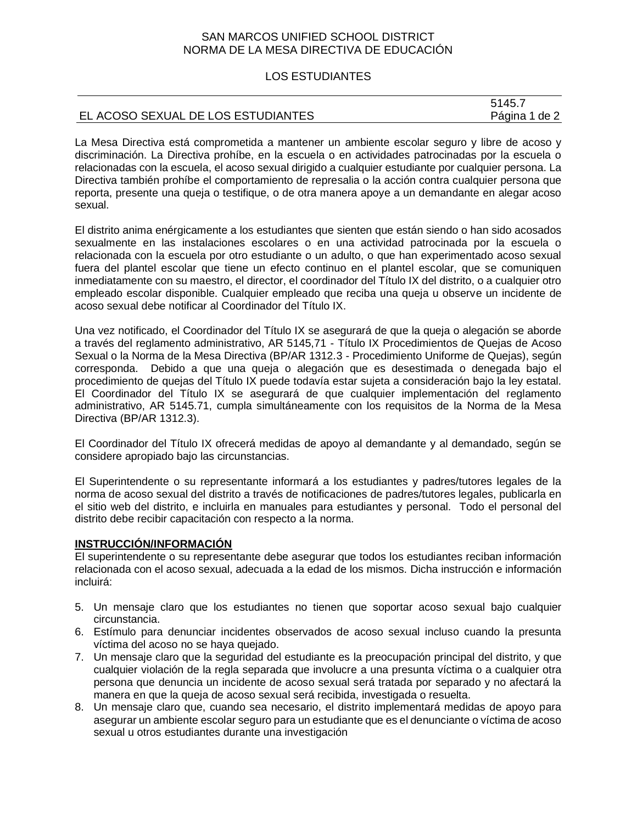## SAN MARCOS UNIFIED SCHOOL DISTRICT NORMA DE LA MESA DIRECTIVA DE EDUCACIÓN

## LOS ESTUDIANTES

|                                    | 5145.7        |
|------------------------------------|---------------|
| EL ACOSO SEXUAL DE LOS ESTUDIANTES | Página 1 de 2 |

La Mesa Directiva está comprometida a mantener un ambiente escolar seguro y libre de acoso y discriminación. La Directiva prohíbe, en la escuela o en actividades patrocinadas por la escuela o relacionadas con la escuela, el acoso sexual dirigido a cualquier estudiante por cualquier persona. La Directiva también prohíbe el comportamiento de represalia o la acción contra cualquier persona que reporta, presente una queja o testifique, o de otra manera apoye a un demandante en alegar acoso sexual.

El distrito anima enérgicamente a los estudiantes que sienten que están siendo o han sido acosados sexualmente en las instalaciones escolares o en una actividad patrocinada por la escuela o relacionada con la escuela por otro estudiante o un adulto, o que han experimentado acoso sexual fuera del plantel escolar que tiene un efecto continuo en el plantel escolar, que se comuniquen inmediatamente con su maestro, el director, el coordinador del Título IX del distrito, o a cualquier otro empleado escolar disponible. Cualquier empleado que reciba una queja u observe un incidente de acoso sexual debe notificar al Coordinador del Título IX.

Una vez notificado, el Coordinador del Título IX se asegurará de que la queja o alegación se aborde a través del reglamento administrativo, AR 5145,71 - Título IX Procedimientos de Quejas de Acoso Sexual o la Norma de la Mesa Directiva (BP/AR 1312.3 - Procedimiento Uniforme de Quejas), según corresponda. Debido a que una queja o alegación que es desestimada o denegada bajo el procedimiento de quejas del Título IX puede todavía estar sujeta a consideración bajo la ley estatal. El Coordinador del Título IX se asegurará de que cualquier implementación del reglamento administrativo, AR 5145.71, cumpla simultáneamente con los requisitos de la Norma de la Mesa Directiva (BP/AR 1312.3).

El Coordinador del Título IX ofrecerá medidas de apoyo al demandante y al demandado, según se considere apropiado bajo las circunstancias.

El Superintendente o su representante informará a los estudiantes y padres/tutores legales de la norma de acoso sexual del distrito a través de notificaciones de padres/tutores legales, publicarla en el sitio web del distrito, e incluirla en manuales para estudiantes y personal. Todo el personal del distrito debe recibir capacitación con respecto a la norma.

# **INSTRUCCIÓN/INFORMACIÓN**

El superintendente o su representante debe asegurar que todos los estudiantes reciban información relacionada con el acoso sexual, adecuada a la edad de los mismos. Dicha instrucción e información incluirá:

- 5. Un mensaje claro que los estudiantes no tienen que soportar acoso sexual bajo cualquier circunstancia.
- 6. Estímulo para denunciar incidentes observados de acoso sexual incluso cuando la presunta víctima del acoso no se haya quejado.
- 7. Un mensaje claro que la seguridad del estudiante es la preocupación principal del distrito, y que cualquier violación de la regla separada que involucre a una presunta víctima o a cualquier otra persona que denuncia un incidente de acoso sexual será tratada por separado y no afectará la manera en que la queja de acoso sexual será recibida, investigada o resuelta.
- 8. Un mensaje claro que, cuando sea necesario, el distrito implementará medidas de apoyo para asegurar un ambiente escolar seguro para un estudiante que es el denunciante o víctima de acoso sexual u otros estudiantes durante una investigación